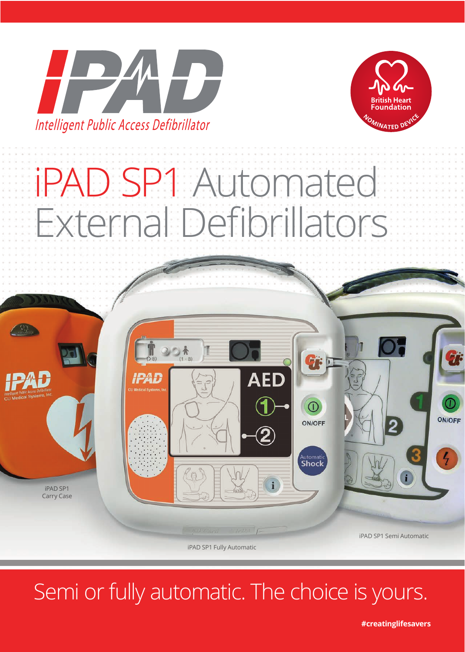



# iPAD SP1 Automated External Defibrillators



iPAD SP1 Fully Automatic

### Semi or fully automatic. The choice is yours.

**#creatinglifesavers**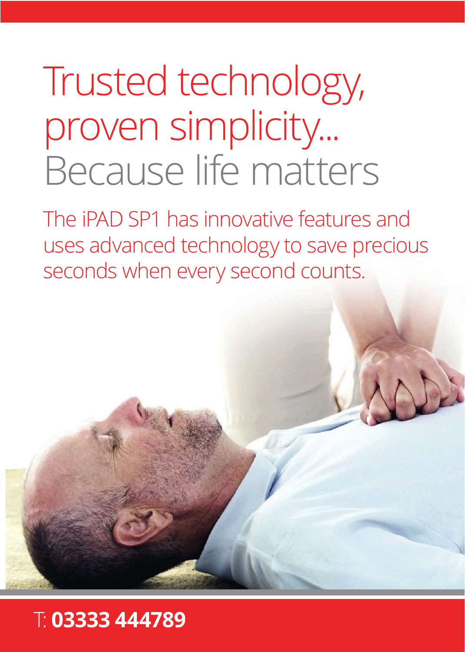# Trusted technology, proven simplicity... Because life matters

The iPAD SP1 has innovative features and uses advanced technology to save precious seconds when every second counts.

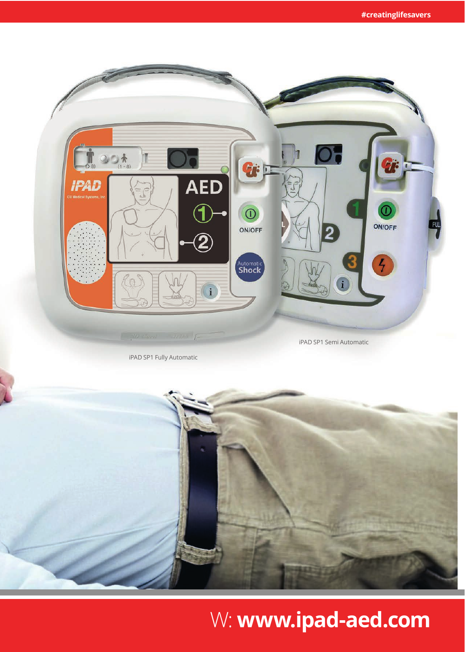## W: **www.ipad-aed.com**



iPAD SP1 Fully Automatic

iPAD SP1 Semi Automatic

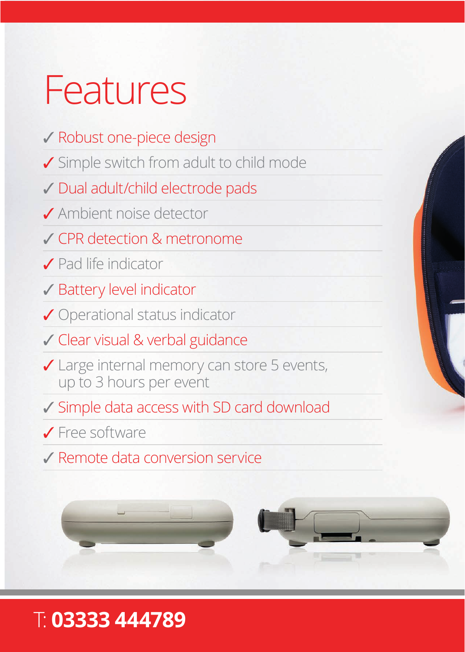## Features

### ✓ Robust one-piece design

- ✓ Simple switch from adult to child mode
- ✓ Dual adult/child electrode pads
- ✓ Ambient noise detector
- ✓ CPR detection & metronome
- ✓ Pad life indicator
- ✓ Battery level indicator
- ✓ Operational status indicator
- ✓ Clear visual & verbal guidance
- ✓ Large internal memory can store 5 events, up to 3 hours per event
- ✓ Simple data access with SD card download
- ✓ Free software
- ✓ Remote data conversion service



### T: **03333 444789**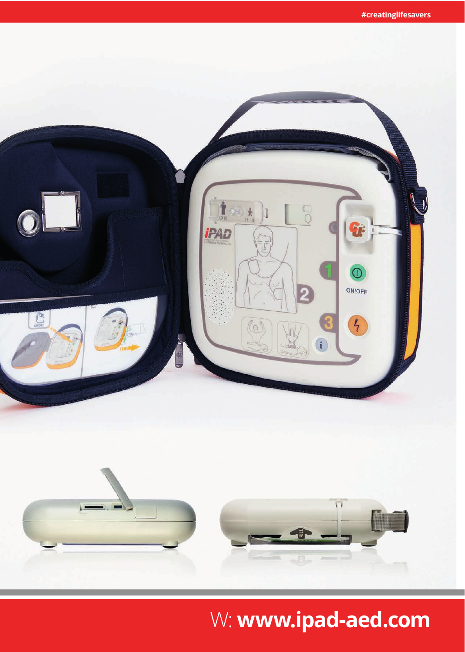

## W: **www.ipad-aed.com**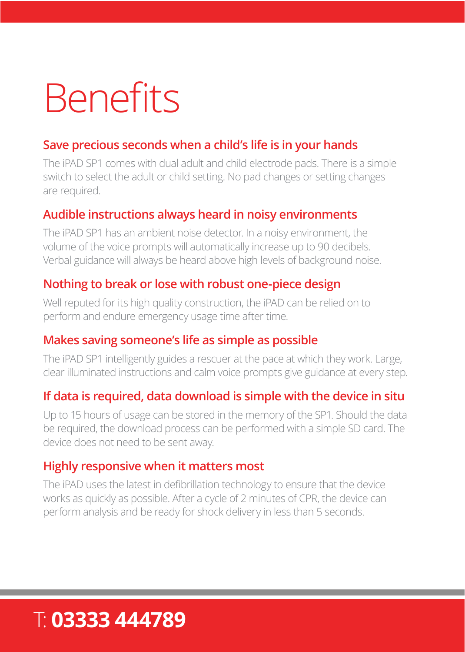# **Benefits**

#### **Save precious seconds when a child's life is in your hands**

The iPAD SP1 comes with dual adult and child electrode pads. There is a simple switch to select the adult or child setting. No pad changes or setting changes are required.

#### **Audible instructions always heard in noisy environments**

The iPAD SP1 has an ambient noise detector. In a noisy environment, the volume of the voice prompts will automatically increase up to 90 decibels. Verbal guidance will always be heard above high levels of background noise.

#### **Nothing to break or lose with robust one-piece design**

Well reputed for its high quality construction, the iPAD can be relied on to perform and endure emergency usage time after time.

#### **Makes saving someone's life as simple as possible**

The iPAD SP1 intelligently guides a rescuer at the pace at which they work. Large, clear illuminated instructions and calm voice prompts give guidance at every step.

#### **If data is required, data download is simple with the device in situ**

Up to 15 hours of usage can be stored in the memory of the SP1. Should the data be required, the download process can be performed with a simple SD card. The device does not need to be sent away.

#### **Highly responsive when it matters most**

The iPAD uses the latest in defibrillation technology to ensure that the device works as quickly as possible. After a cycle of 2 minutes of CPR, the device can perform analysis and be ready for shock delivery in less than 5 seconds.

### T: **03333 444789**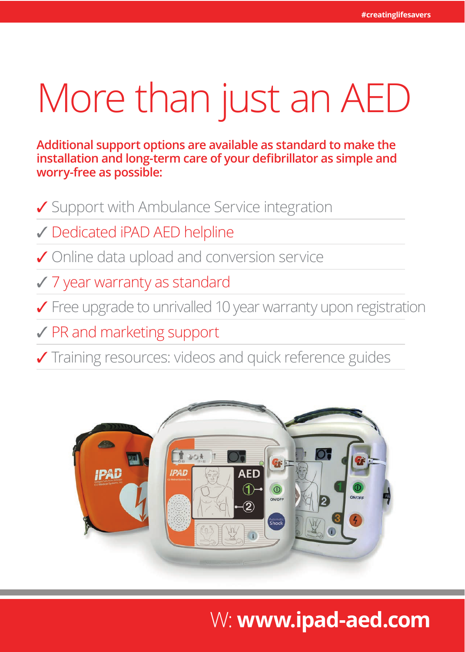# More than just an AED

**Additional support options are available as standard to make the installation and long-term care of your defibrillator as simple and worry-free as possible:**

✓ Support with Ambulance Service integration

✓ Dedicated iPAD AED helpline

✓ Online data upload and conversion service

✓ 7 year warranty as standard

✓ Free upgrade to unrivalled 10 year warranty upon registration

✓ PR and marketing support

✓ Training resources: videos and quick reference guides



### W: **www.ipad-aed.com**